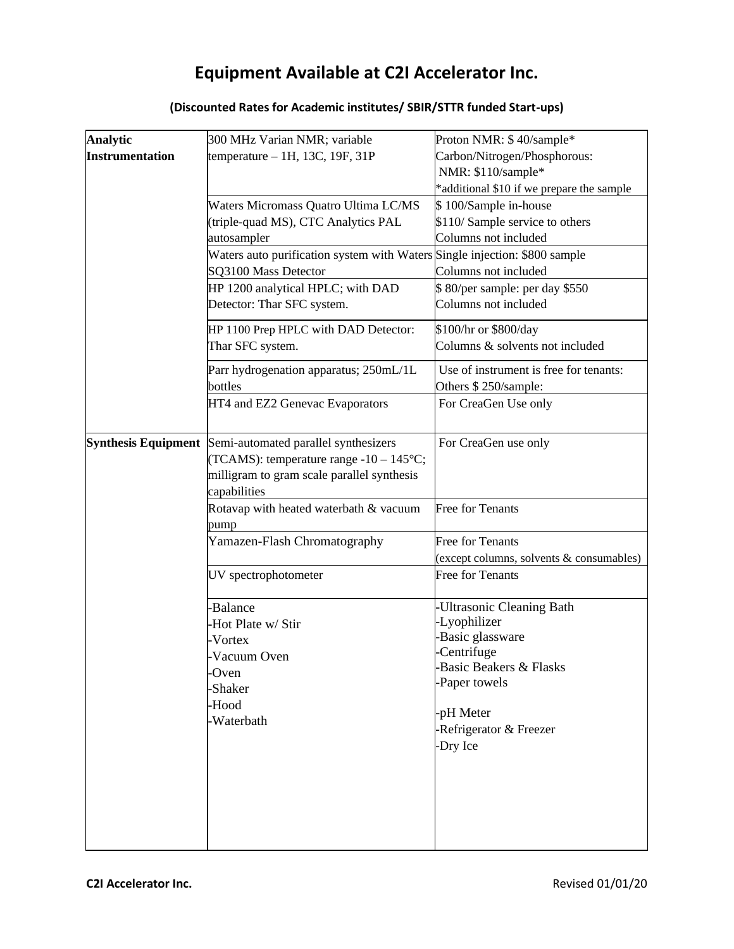## **Equipment Available at C2I Accelerator Inc.**

## **Analytic Instrumentation** 300 MHz Varian NMR; variable temperature – 1H, 13C, 19F, 31P Proton NMR: \$ 40/sample\* Carbon/Nitrogen/Phosphorous: NMR: \$110/sample\* \*additional \$10 if we prepare the sample Waters Micromass Quatro Ultima LC/MS (triple-quad MS), CTC Analytics PAL autosampler \$ 100/Sample in-house \$110/ Sample service to others Columns not included Waters auto purification system with Waters Single injection: \$800 sample SQ3100 Mass Detector Columns not included HP 1200 analytical HPLC; with DAD Detector: Thar SFC system. \$ 80/per sample: per day \$550 Columns not included HP 1100 Prep HPLC with DAD Detector: Thar SFC system. \$100/hr or \$800/day Columns & solvents not included Parr hydrogenation apparatus; 250mL/1L bottles Use of instrument is free for tenants: Others \$ 250/sample: HT4 and EZ2 Genevac Evaporators For CreaGen Use only **Synthesis Equipment** Semi-automated parallel synthesizers (TCAMS): temperature range  $-10 - 145$ °C; milligram to gram scale parallel synthesis capabilities For CreaGen use only Rotavap with heated waterbath & vacuum pump Free for Tenants Yamazen-Flash Chromatography Free for Tenants (except columns, solvents & consumables) UV spectrophotometer Free for Tenants -Balance -Hot Plate w/ Stir -Vortex -Vacuum Oven -Oven -Shaker -Hood -Waterbath -Ultrasonic Cleaning Bath -Lyophilizer -Basic glassware -Centrifuge -Basic Beakers & Flasks -Paper towels -pH Meter -Refrigerator & Freezer -Dry Ice

## **(Discounted Rates for Academic institutes/ SBIR/STTR funded Start-ups)**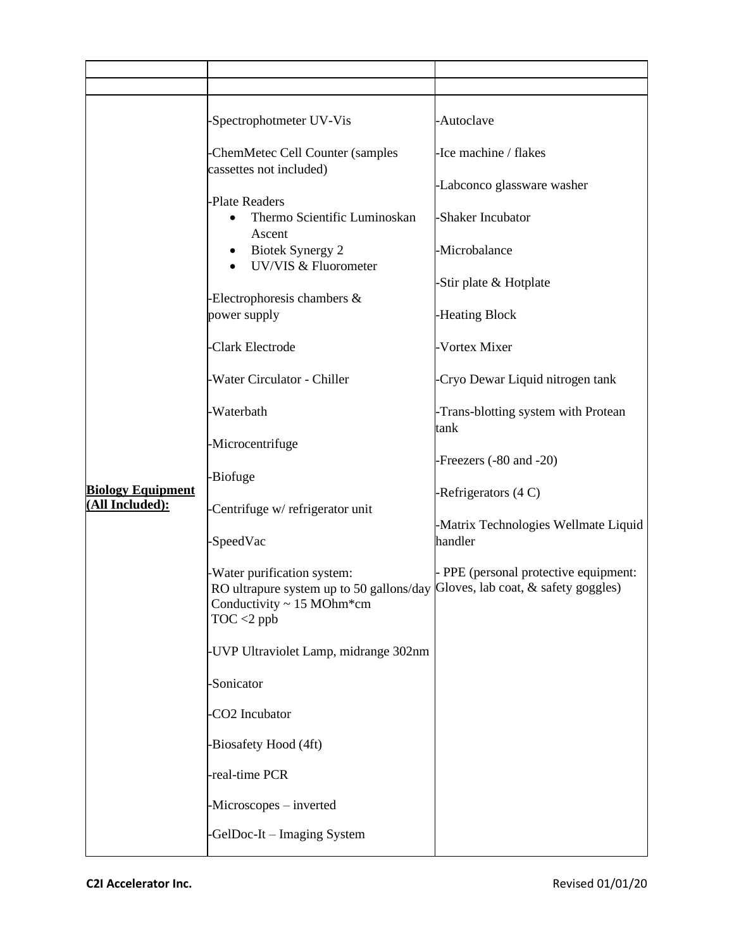| <b>Biology Equipment</b><br>(All Included): | -Spectrophotmeter UV-Vis                                                                                                                                       | -Autoclave                                     |
|---------------------------------------------|----------------------------------------------------------------------------------------------------------------------------------------------------------------|------------------------------------------------|
|                                             | -ChemMetec Cell Counter (samples<br>cassettes not included)                                                                                                    | -Ice machine / flakes                          |
|                                             | -Plate Readers                                                                                                                                                 | -Labconco glassware washer                     |
|                                             | Thermo Scientific Luminoskan<br>Ascent                                                                                                                         | -Shaker Incubator                              |
|                                             | <b>Biotek Synergy 2</b><br>٠<br>UV/VIS & Fluorometer                                                                                                           | -Microbalance                                  |
|                                             | Electrophoresis chambers &                                                                                                                                     | Stir plate & Hotplate                          |
|                                             | power supply                                                                                                                                                   | -Heating Block                                 |
|                                             | -Clark Electrode                                                                                                                                               | Vortex Mixer                                   |
|                                             | -Water Circulator - Chiller                                                                                                                                    | Cryo Dewar Liquid nitrogen tank                |
|                                             | -Waterbath                                                                                                                                                     | -Trans-blotting system with Protean<br>tank    |
|                                             | -Microcentrifuge                                                                                                                                               | -Freezers (-80 and -20)                        |
|                                             | -Biofuge                                                                                                                                                       | -Refrigerators (4 C)                           |
|                                             | -Centrifuge w/ refrigerator unit<br>-SpeedVac                                                                                                                  | Matrix Technologies Wellmate Liquid<br>handler |
|                                             | -Water purification system:<br>RO ultrapure system up to 50 gallons/day Gloves, lab coat, & safety goggles)<br>Conductivity $\sim$ 15 MOhm*cm<br>$TOC < 2$ ppb | - PPE (personal protective equipment:          |
|                                             | -UVP Ultraviolet Lamp, midrange 302nm                                                                                                                          |                                                |
|                                             | -Sonicator                                                                                                                                                     |                                                |
|                                             | CO2 Incubator                                                                                                                                                  |                                                |
|                                             | -Biosafety Hood (4ft)                                                                                                                                          |                                                |
|                                             | -real-time PCR                                                                                                                                                 |                                                |
|                                             | -Microscopes – inverted                                                                                                                                        |                                                |
|                                             | GelDoc-It – Imaging System                                                                                                                                     |                                                |